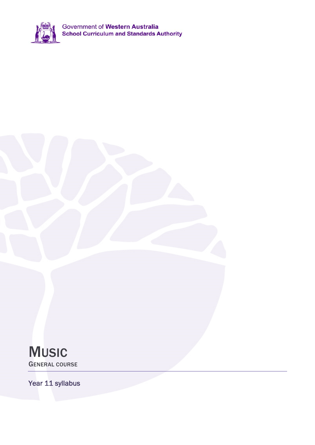

Government of Western Australia<br>School Curriculum and Standards Authority

**MUSIC** GENERAL COURSE

Year 11 syllabus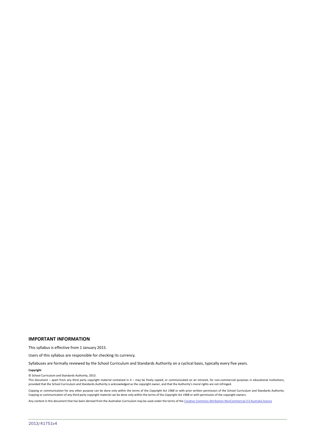#### **IMPORTANT INFORMATION**

This syllabus is effective from 1 January 2015.

Users of this syllabus are responsible for checking its currency.

Syllabuses are formally reviewed by the School Curriculum and Standards Authority on a cyclical basis, typically every five years.

#### **Copyright**

© School Curriculum and Standards Authority, 2013.

This document – apart from any third party copyright material contained in it – may be freely copied, or communicated on an intranet, for non-commercial purposes in educational institutions, provided that the School Curriculum and Standards Authority is acknowledged as the copyright owner, and that the Authority's moral rights are not infringed.

Copying or communication for any other purpose can be done only within the terms of the *Copyright Act 1968* or with prior written permission of the School Curriculum and Standards Authority. Copying or communication of any third party copyright material can be done only within the terms of the *Copyright Act 1968* or with permission of the copyright owners.

Any content in this document that has been derived from the Australian Curriculum may be used under the terms of the Creative Commons Attribution-NonCommercial 3.0 Australia licence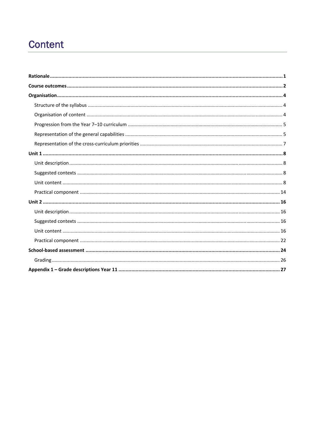## Content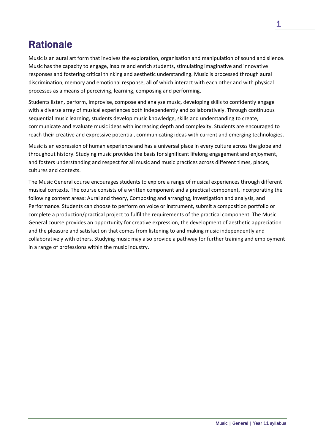## **Rationale**

Music is an aural art form that involves the exploration, organisation and manipulation of sound and silence. Music has the capacity to engage, inspire and enrich students, stimulating imaginative and innovative responses and fostering critical thinking and aesthetic understanding. Music is processed through aural discrimination, memory and emotional response, all of which interact with each other and with physical processes as a means of perceiving, learning, composing and performing.

Students listen, perform, improvise, compose and analyse music, developing skills to confidently engage with a diverse array of musical experiences both independently and collaboratively. Through continuous sequential music learning, students develop music knowledge, skills and understanding to create, communicate and evaluate music ideas with increasing depth and complexity. Students are encouraged to reach their creative and expressive potential, communicating ideas with current and emerging technologies.

Music is an expression of human experience and has a universal place in every culture across the globe and throughout history. Studying music provides the basis for significant lifelong engagement and enjoyment, and fosters understanding and respect for all music and music practices across different times, places, cultures and contexts.

The Music General course encourages students to explore a range of musical experiences through different musical contexts. The course consists of a written component and a practical component, incorporating the following content areas: Aural and theory, Composing and arranging, Investigation and analysis, and Performance. Students can choose to perform on voice or instrument, submit a composition portfolio or complete a production/practical project to fulfil the requirements of the practical component. The Music General course provides an opportunity for creative expression, the development of aesthetic appreciation and the pleasure and satisfaction that comes from listening to and making music independently and collaboratively with others. Studying music may also provide a pathway for further training and employment in a range of professions within the music industry.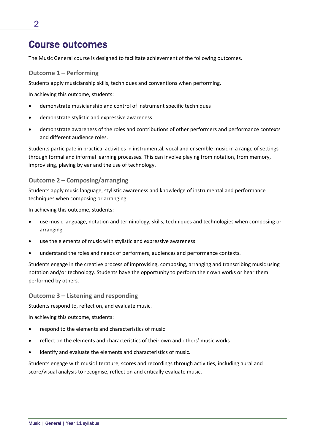## Course outcomes

The Music General course is designed to facilitate achievement of the following outcomes.

### **Outcome 1 – Performing**

Students apply musicianship skills, techniques and conventions when performing.

In achieving this outcome, students:

- demonstrate musicianship and control of instrument specific techniques
- demonstrate stylistic and expressive awareness
- demonstrate awareness of the roles and contributions of other performers and performance contexts and different audience roles.

Students participate in practical activities in instrumental, vocal and ensemble music in a range of settings through formal and informal learning processes. This can involve playing from notation, from memory, improvising, playing by ear and the use of technology.

### **Outcome 2 – Composing/arranging**

Students apply music language, stylistic awareness and knowledge of instrumental and performance techniques when composing or arranging.

In achieving this outcome, students:

- use music language, notation and terminology, skills, techniques and technologies when composing or arranging
- use the elements of music with stylistic and expressive awareness
- understand the roles and needs of performers, audiences and performance contexts.

Students engage in the creative process of improvising, composing, arranging and transcribing music using notation and/or technology. Students have the opportunity to perform their own works or hear them performed by others.

### **Outcome 3 – Listening and responding**

Students respond to, reflect on, and evaluate music.

In achieving this outcome, students:

- respond to the elements and characteristics of music
- reflect on the elements and characteristics of their own and others' music works
- identify and evaluate the elements and characteristics of music.

Students engage with music literature, scores and recordings through activities, including aural and score/visual analysis to recognise, reflect on and critically evaluate music.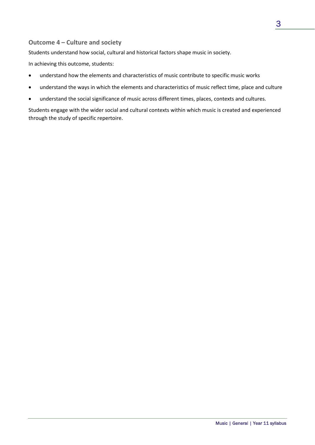### **Outcome 4 – Culture and society**

Students understand how social, cultural and historical factors shape music in society.

In achieving this outcome, students:

- understand how the elements and characteristics of music contribute to specific music works
- understand the ways in which the elements and characteristics of music reflect time, place and culture
- understand the social significance of music across different times, places, contexts and cultures.

Students engage with the wider social and cultural contexts within which music is created and experienced through the study of specific repertoire.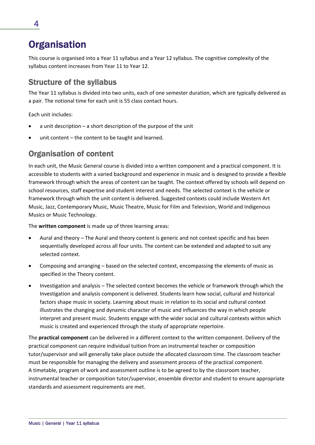## **Organisation**

This course is organised into a Year 11 syllabus and a Year 12 syllabus. The cognitive complexity of the syllabus content increases from Year 11 to Year 12.

### Structure of the syllabus

The Year 11 syllabus is divided into two units, each of one semester duration, which are typically delivered as a pair. The notional time for each unit is 55 class contact hours.

Each unit includes:

- a unit description a short description of the purpose of the unit
- unit content the content to be taught and learned.

### Organisation of content

In each unit, the Music General course is divided into a written component and a practical component. It is accessible to students with a varied background and experience in music and is designed to provide a flexible framework through which the areas of content can be taught. The context offered by schools will depend on school resources, staff expertise and student interest and needs. The selected context is the vehicle or framework through which the unit content is delivered. Suggested contexts could include Western Art Music, Jazz, Contemporary Music, Music Theatre, Music for Film and Television, World and Indigenous Musics or Music Technology.

The **written component** is made up of three learning areas:

- Aural and theory The Aural and theory content is generic and not context specific and has been sequentially developed across all four units. The content can be extended and adapted to suit any selected context.
- Composing and arranging based on the selected context, encompassing the elements of music as specified in the Theory content.
- Investigation and analysis The selected context becomes the vehicle or framework through which the Investigation and analysis component is delivered. Students learn how social, cultural and historical factors shape music in society. Learning about music in relation to its social and cultural context illustrates the changing and dynamic character of music and influences the way in which people interpret and present music. Students engage with the wider social and cultural contexts within which music is created and experienced through the study of appropriate repertoire.

The **practical component** can be delivered in a different context to the written component. Delivery of the practical component can require individual tuition from an instrumental teacher or composition tutor/supervisor and will generally take place outside the allocated classroom time. The classroom teacher must be responsible for managing the delivery and assessment process of the practical component. A timetable, program of work and assessment outline is to be agreed to by the classroom teacher, instrumental teacher or composition tutor/supervisor, ensemble director and student to ensure appropriate standards and assessment requirements are met.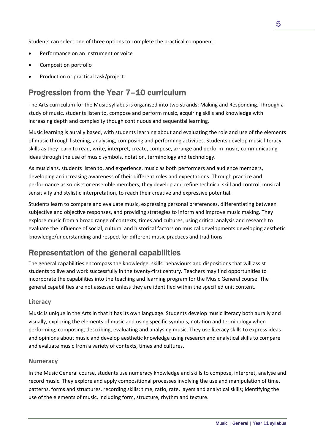Students can select one of three options to complete the practical component:

- Performance on an instrument or voice
- Composition portfolio
- Production or practical task/project.

### Progression from the Year 7–10 curriculum

The Arts curriculum for the Music syllabus is organised into two strands: Making and Responding. Through a study of music, students listen to, compose and perform music, acquiring skills and knowledge with increasing depth and complexity though continuous and sequential learning.

Music learning is aurally based, with students learning about and evaluating the role and use of the elements of music through listening, analysing, composing and performing activities. Students develop music literacy skills as they learn to read, write, interpret, create, compose, arrange and perform music, communicating ideas through the use of music symbols, notation, terminology and technology.

As musicians, students listen to, and experience, music as both performers and audience members, developing an increasing awareness of their different roles and expectations. Through practice and performance as soloists or ensemble members, they develop and refine technical skill and control, musical sensitivity and stylistic interpretation, to reach their creative and expressive potential.

Students learn to compare and evaluate music, expressing personal preferences, differentiating between subjective and objective responses, and providing strategies to inform and improve music making. They explore music from a broad range of contexts, times and cultures, using critical analysis and research to evaluate the influence of social, cultural and historical factors on musical developments developing aesthetic knowledge/understanding and respect for different music practices and traditions.

### Representation of the general capabilities

The general capabilities encompass the knowledge, skills, behaviours and dispositions that will assist students to live and work successfully in the twenty‐first century. Teachers may find opportunities to incorporate the capabilities into the teaching and learning program for the Music General course. The general capabilities are not assessed unless they are identified within the specified unit content.

### **Literacy**

Music is unique in the Arts in that it has its own language. Students develop music literacy both aurally and visually, exploring the elements of music and using specific symbols, notation and terminology when performing, composing, describing, evaluating and analysing music. They use literacy skills to express ideas and opinions about music and develop aesthetic knowledge using research and analytical skills to compare and evaluate music from a variety of contexts, times and cultures.

### **Numeracy**

In the Music General course, students use numeracy knowledge and skills to compose, interpret, analyse and record music. They explore and apply compositional processes involving the use and manipulation of time, patterns, forms and structures, recording skills; time, ratio, rate, layers and analytical skills; identifying the use of the elements of music, including form, structure, rhythm and texture.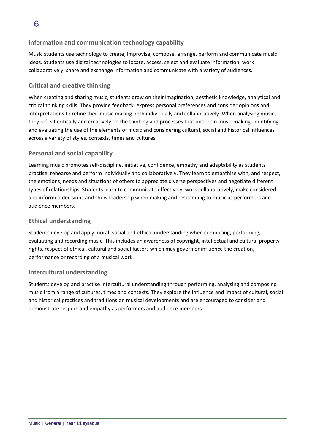### **Information and communication technology capability**

Music students use technology to create, improvise, compose, arrange, perform and communicate music ideas. Students use digital technologies to locate, access, select and evaluate information, work collaboratively, share and exchange information and communicate with a variety of audiences.

### **Critical and creative thinking**

When creating and sharing music, students draw on their imagination, aesthetic knowledge, analytical and critical thinking skills. They provide feedback, express personal preferences and consider opinions and interpretations to refine their music making both individually and collaboratively. When analysing music, they reflect critically and creatively on the thinking and processes that underpin music making, identifying and evaluating the use of the elements of music and considering cultural, social and historical influences across a variety of styles, contexts, times and cultures.

### **Personal and social capability**

Learning music promotes self‐discipline, initiative, confidence, empathy and adaptability as students practise, rehearse and perform individually and collaboratively. They learn to empathise with, and respect, the emotions, needs and situations of others to appreciate diverse perspectives and negotiate different types of relationships. Students learn to communicate effectively, work collaboratively, make considered and informed decisions and show leadership when making and responding to music as performers and audience members.

### **Ethical understanding**

Students develop and apply moral, social and ethical understanding when composing, performing, evaluating and recording music. This includes an awareness of copyright, intellectual and cultural property rights, respect of ethical, cultural and social factors which may govern or influence the creation, performance or recording of a musical work.

### **Intercultural understanding**

Students develop and practise intercultural understanding through performing, analysing and composing music from a range of cultures, times and contexts. They explore the influence and impact of cultural, social and historical practices and traditions on musical developments and are encouraged to consider and demonstrate respect and empathy as performers and audience members.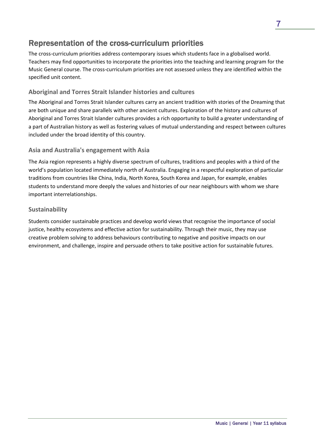### Representation of the cross-curriculum priorities

The cross-curriculum priorities address contemporary issues which students face in a globalised world. Teachers may find opportunities to incorporate the priorities into the teaching and learning program for the Music General course. The cross‐curriculum priorities are not assessed unless they are identified within the specified unit content.

### **Aboriginal and Torres Strait Islander histories and cultures**

The Aboriginal and Torres Strait Islander cultures carry an ancient tradition with stories of the Dreaming that are both unique and share parallels with other ancient cultures. Exploration of the history and cultures of Aboriginal and Torres Strait Islander cultures provides a rich opportunity to build a greater understanding of a part of Australian history as well as fostering values of mutual understanding and respect between cultures included under the broad identity of this country.

### **Asia and Australia's engagement with Asia**

The Asia region represents a highly diverse spectrum of cultures, traditions and peoples with a third of the world's population located immediately north of Australia. Engaging in a respectful exploration of particular traditions from countries like China, India, North Korea, South Korea and Japan, for example, enables students to understand more deeply the values and histories of our near neighbours with whom we share important interrelationships.

### **Sustainability**

Students consider sustainable practices and develop world views that recognise the importance of social justice, healthy ecosystems and effective action for sustainability. Through their music, they may use creative problem solving to address behaviours contributing to negative and positive impacts on our environment, and challenge, inspire and persuade others to take positive action for sustainable futures.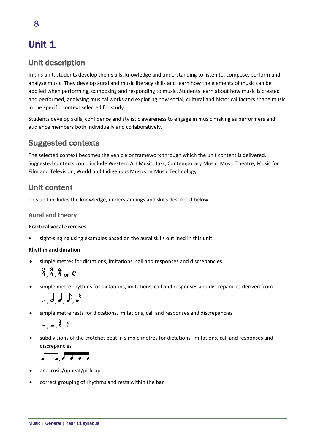# Unit 1

### Unit description

In this unit, students develop their skills, knowledge and understanding to listen to, compose, perform and analyse music. They develop aural and music literacy skills and learn how the elements of music can be applied when performing, composing and responding to music. Students learn about how music is created and performed, analysing musical works and exploring how social, cultural and historical factors shape music in the specific context selected for study.

Students develop skills, confidence and stylistic awareness to engage in music making as performers and audience members both individually and collaboratively.

### Suggested contexts

The selected context becomes the vehicle or framework through which the unit content is delivered. Suggested contexts could include Western Art Music, Jazz, Contemporary Music, Music Theatre, Music for Film and Television, World and Indigenous Musics or Music Technology.

### Unit content

This unit includes the knowledge, understandings and skills described below.

### **Aural and theory**

### **Practical vocal exercises**

sight-singing using examples based on the aural skills outlined in this unit.

### **Rhythm and duration**

simple metres for dictations, imitations, call and responses and discrepancies

 $\frac{2}{4}$ ,  $\frac{3}{4}$ ,  $\frac{4}{4}$  or C

simple metre rhythms for dictations, imitations, call and responses and discrepancies derived from

$$
\circ, \circ, \bullet, \bullet, \bullet
$$

simple metre rests for dictations, imitations, call and responses and discrepancies

$$
=,-,\xi,7
$$

 subdivisions of the crotchet beat in simple metres for dictations, imitations, call and responses and discrepancies

<u>, , , , ,</u>

- anacrusis/upbeat/pick‐up
- correct grouping of rhythms and rests within the bar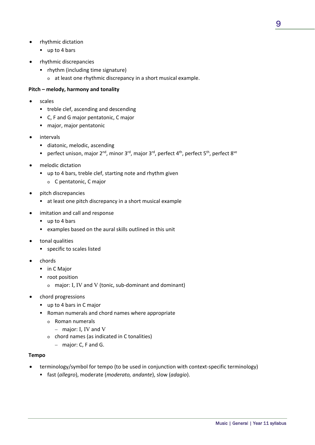- rhythmic dictation
	- up to 4 bars
- rhythmic discrepancies
	- rhythm (including time signature)
		- o at least one rhythmic discrepancy in a short musical example.

### **Pitch – melody, harmony and tonality**

- scales
	- **treble clef, ascending and descending**
	- C, F and G major pentatonic, C major
	- major, major pentatonic
- intervals
	- **diatonic, melodic, ascending**
	- perfect unison, major  $2^{nd}$ , minor  $3^{rd}$ , major  $3^{rd}$ , perfect  $4^{th}$ , perfect  $5^{th}$ , perfect  $8^{ve}$
- melodic dictation
	- up to 4 bars, treble clef, starting note and rhythm given
		- o C pentatonic, C major
- pitch discrepancies
	- at least one pitch discrepancy in a short musical example
- imitation and call and response
	- up to 4 bars
	- examples based on the aural skills outlined in this unit
- tonal qualities
	- **specific to scales listed**
- chords
	- **in C Major**
	- **•** root position
		- <sup>o</sup> major: I, IV and V (tonic, sub‐dominant and dominant)
- chord progressions
	- up to 4 bars in C major
	- Roman numerals and chord names where appropriate
		- o Roman numerals
			- major: I, IV and V
		- o chord names (as indicated in C tonalities)
			- major: C, F and G.

### **Tempo**

- terminology/symbol for tempo (to be used in conjunction with context-specific terminology)
	- fast (*allegro*), moderate (*moderato, andante*), slow (*adagio*).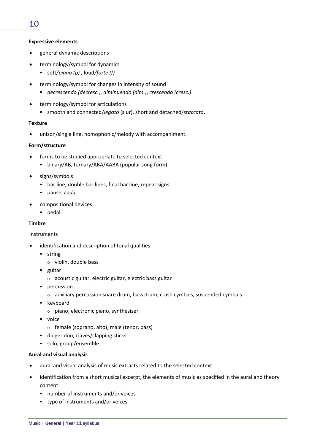### 10

### **Expressive elements**

- general dynamic descriptions
- terminology/symbol for dynamics
	- soft*/piano (p) ,* loud*/forte (f)*
- terminology/symbol for changes in intensity of sound
	- *decrescendo (decresc.)*, *diminuendo (dim.)*, *crescendo (cresc.)*
- terminology/symbol for articulations
	- smooth and connected/*legato* (slur), short and detached/*staccato*.

### **Texture**

unison/single line, homophonic/melody with accompaniment.

### **Form/structure**

- forms to be studied appropriate to selected context
	- binary/AB, ternary/ABA/AABA (popular song form)
- signs/symbols
	- bar line, double bar lines, final bar line, repeat signs
	- pause, *coda*
- compositional devices
	- **pedal.**

### **Timbre**

### Instruments

- identification and description of tonal qualities
	- **string** 
		- o violin, double bass
	- **guitar** 
		- o acoustic guitar, electric guitar, electric bass guitar
	- **percussion** 
		- o auxiliary percussion snare drum, bass drum, crash cymbals, suspended cymbals
	- **Executed** 
		- o piano, electronic piano, synthesiser
	- voice
		- o female (soprano, alto), male (tenor, bass)
	- didgeridoo, claves/clapping sticks
	- solo, group/ensemble.

### **Aural and visual analysis**

- aural and visual analysis of music extracts related to the selected context
- identification from a short musical excerpt, the elements of music as specified in the aural and theory content
	- number of instruments and/or voices
	- type of instruments and/or voices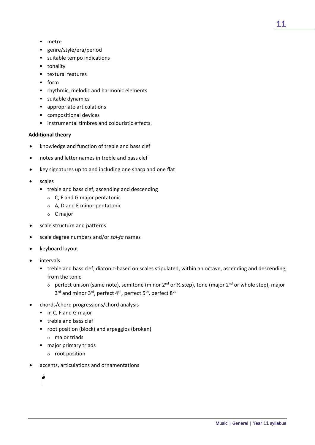- metre
- genre/style/era/period
- suitable tempo indications
- **tonality**
- **textural features**
- $-$  form
- **•** rhythmic, melodic and harmonic elements
- **suitable dynamics**
- appropriate articulations
- compositional devices
- **EXECUTE:** instrumental timbres and colouristic effects.

### **Additional theory**

- knowledge and function of treble and bass clef
- notes and letter names in treble and bass clef
- key signatures up to and including one sharp and one flat
- scales
	- **•** treble and bass clef, ascending and descending
		- o C, F and G major pentatonic
		- o A, D and E minor pentatonic
		- o C major
- scale structure and patterns
- scale degree numbers and/or *sol‐fa* names
- keyboard layout
- intervals
	- treble and bass clef, diatonic-based on scales stipulated, within an octave, ascending and descending, from the tonic
		- o perfect unison (same note), semitone (minor 2<sup>nd</sup> or ½ step), tone (major 2<sup>nd</sup> or whole step), major  $3<sup>rd</sup>$  and minor  $3<sup>rd</sup>$ , perfect  $4<sup>th</sup>$ , perfect  $8<sup>ve</sup>$
- chords/chord progressions/chord analysis
	- in C, F and G major
	- **treble and bass clef**
	- root position (block) and arpeggios (broken)
		- o major triads
	- **major primary triads** 
		- o root position
- accents, articulations and ornamentations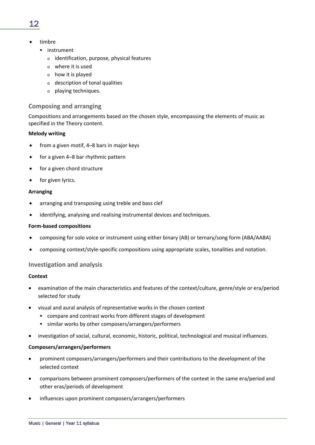- timbre
	- **·** instrument
		- o identification, purpose, physical features
		- o where it is used
		- o how it is played
		- o description of tonal qualities
		- o playing techniques.

### **Composing and arranging**

Compositions and arrangements based on the chosen style, encompassing the elements of music as specified in the Theory content.

### **Melody writing**

- from a given motif, 4–8 bars in major keys
- for a given 4–8 bar rhythmic pattern
- for a given chord structure
- for given lyrics.

### **Arranging**

- arranging and transposing using treble and bass clef
- identifying, analysing and realising instrumental devices and techniques.

#### **Form‐based compositions**

- composing for solo voice or instrument using either binary (AB) or ternary/song form (ABA/AABA)
- composing context/style‐specific compositions using appropriate scales, tonalities and notation.

### **Investigation and analysis**

### **Context**

- examination of the main characteristics and features of the context/culture, genre/style or era/period selected for study
- visual and aural analysis of representative works in the chosen context
	- compare and contrast works from different stages of development
	- similar works by other composers/arrangers/performers
- investigation of social, cultural, economic, historic, political, technological and musical influences.

### **Composers/arrangers/performers**

- prominent composers/arrangers/performers and their contributions to the development of the selected context
- comparisons between prominent composers/performers of the context in the same era/period and other eras/periods of development
- influences upon prominent composers/arrangers/performers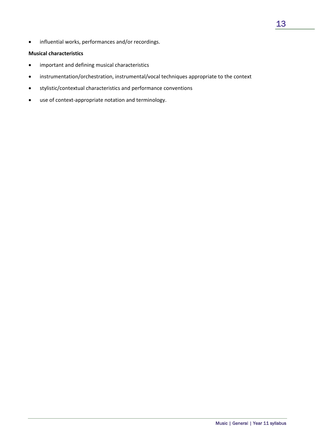• influential works, performances and/or recordings.

### **Musical characteristics**

- important and defining musical characteristics
- instrumentation/orchestration, instrumental/vocal techniques appropriate to the context
- stylistic/contextual characteristics and performance conventions
- use of context‐appropriate notation and terminology.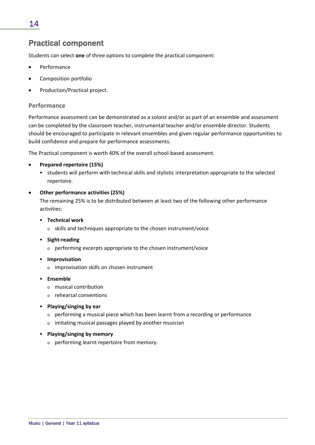### 14

### Practical component

Students can select **one** of three options to complete the practical component:

- Performance
- Composition portfolio
- Production/Practical project.

### **Performance**

Performance assessment can be demonstrated as a soloist and/or as part of an ensemble and assessment can be completed by the classroom teacher, instrumental teacher and/or ensemble director. Students should be encouraged to participate in relevant ensembles and given regular performance opportunities to build confidence and prepare for performance assessments.

The Practical component is worth 40% of the overall school‐based assessment.

### **Prepared repertoire (15%)**

 students will perform with technical skills and stylistic interpretation appropriate to the selected repertoire.

### **Other performance activities (25%)**

The remaining 25% is to be distributed between at least two of the following other performance activities:

- **Technical work**
	- o skills and techniques appropriate to the chosen instrument/voice
- **Sight‐reading**
	- o performing excerpts appropriate to the chosen instrument/voice
- **F** Improvisation
	- o improvisation skills on chosen instrument
- **Ensemble**
	- o musical contribution
	- o rehearsal conventions
- **Playing/singing by ear**
	- o performing a musical piece which has been learnt from a recording or performance
	- o imitating musical passages played by another musician
- **Playing/singing by memory**
	- o performing learnt repertoire from memory.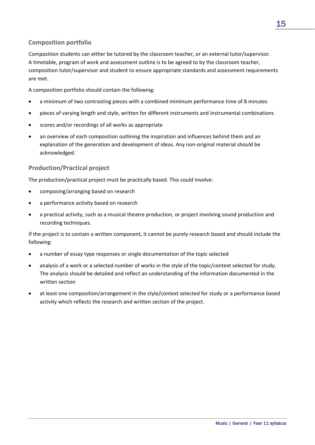### **Composition portfolio**

Composition students can either be tutored by the classroom teacher, or an external tutor/supervisor. A timetable, program of work and assessment outline is to be agreed to by the classroom teacher, composition tutor/supervisor and student to ensure appropriate standards and assessment requirements are met.

A composition portfolio should contain the following:

- a minimum of two contrasting pieces with a combined minimum performance time of 8 minutes
- pieces of varying length and style, written for different instruments and instrumental combinations
- scores and/or recordings of all works as appropriate
- an overview of each composition outlining the inspiration and influences behind them and an explanation of the generation and development of ideas. Any non-original material should be acknowledged.

### **Production/Practical project**

The production/practical project must be practically based. This could involve:

- composing/arranging based on research
- a performance activity based on research
- a practical activity, such as a musical theatre production, or project involving sound production and recording techniques.

If the project is to contain a written component, it cannot be purely research based and should include the following:

- a number of essay type responses or single documentation of the topic selected
- analysis of a work or a selected number of works in the style of the topic/context selected for study. The analysis should be detailed and reflect an understanding of the information documented in the written section
- at least one composition/arrangement in the style/context selected for study or a performance based activity which reflects the research and written section of the project.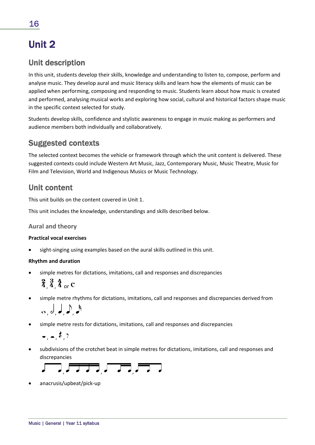## Unit 2

### Unit description

In this unit, students develop their skills, knowledge and understanding to listen to, compose, perform and analyse music. They develop aural and music literacy skills and learn how the elements of music can be applied when performing, composing and responding to music. Students learn about how music is created and performed, analysing musical works and exploring how social, cultural and historical factors shape music in the specific context selected for study.

Students develop skills, confidence and stylistic awareness to engage in music making as performers and audience members both individually and collaboratively.

### Suggested contexts

The selected context becomes the vehicle or framework through which the unit content is delivered. These suggested contexts could include Western Art Music, Jazz, Contemporary Music, Music Theatre, Music for Film and Television, World and Indigenous Musics or Music Technology.

### Unit content

This unit builds on the content covered in Unit 1.

This unit includes the knowledge, understandings and skills described below.

### **Aural and theory**

### **Practical vocal exercises**

sight-singing using examples based on the aural skills outlined in this unit.

### **Rhythm and duration**

- simple metres for dictations, imitations, call and responses and discrepancies
	- $\frac{2}{4}$ ,  $\frac{3}{4}$ ,  $\frac{4}{4}$  or C
- simple metre rhythms for dictations, imitations, call and responses and discrepancies derived from

$$
\circ, \circ, \mathsf{J}, \mathsf{J}, \mathsf{J}
$$

simple metre rests for dictations, imitations, call and responses and discrepancies

 $-$ ,  $-$ ,  $7$ 

 subdivisions of the crotchet beat in simple metres for dictations, imitations, call and responses and discrepancies

$$
\overline{a} = \overline{a} = \overline{a} = \overline{a} = \overline{a} = \overline{a} = \overline{a} = \overline{a} = \overline{a} = \overline{a} = \overline{a} = \overline{a} = \overline{a} = \overline{a} = \overline{a} = \overline{a} = \overline{a} = \overline{a} = \overline{a} = \overline{a} = \overline{a} = \overline{a} = \overline{a} = \overline{a} = \overline{a} = \overline{a} = \overline{a} = \overline{a} = \overline{a} = \overline{a} = \overline{a} = \overline{a} = \overline{a} = \overline{a} = \overline{a} = \overline{a} = \overline{a} = \overline{a} = \overline{a} = \overline{a} = \overline{a} = \overline{a} = \overline{a} = \overline{a} = \overline{a} = \overline{a} = \overline{a} = \overline{a} = \overline{a} = \overline{a} = \overline{a} = \overline{a} = \overline{a} = \overline{a} = \overline{a} = \overline{a} = \overline{a} = \overline{a} = \overline{a} = \overline{a} = \overline{a} = \overline{a} = \overline{a} = \overline{a} = \overline{a} = \overline{a} = \overline{a} = \overline{a} = \overline{a} = \overline{a} = \overline{a} = \overline{a} = \overline{a} = \overline{a} = \overline{a} = \overline{a} = \overline{a} = \overline{a} = \overline{a} = \overline{a} = \overline{a} = \overline{a} = \overline{a} = \overline{a} = \overline{a} = \overline{a} = \overline{a} = \overline{a} = \overline{a} = \overline{a} = \overline{a} = \overline{a} = \overline{a} = \overline{a} = \overline{a} = \overline{a} = \overline{a} = \overline{a} = \overline{a} = \overline{a} = \overline{a} = \overline{a} = \overline{a} = \overline{a} = \overline{a} = \overline{a} = \overline{a} = \overline{a} = \overline{
$$

anacrusis/upbeat/pick‐up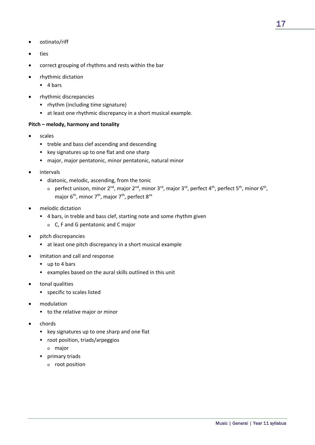- ostinato/riff
- ties
- correct grouping of rhythms and rests within the bar
- rhythmic dictation
	- $-4 \text{ hars}$
- rhythmic discrepancies
	- rhythm (including time signature)
	- at least one rhythmic discrepancy in a short musical example.

### **Pitch – melody, harmony and tonality**

- scales
	- **•** treble and bass clef ascending and descending
	- **EXEG** key signatures up to one flat and one sharp
	- major, major pentatonic, minor pentatonic, natural minor
- intervals
	- diatonic, melodic, ascending, from the tonic
		- o perfect unison, minor  $2^{nd}$ , major  $2^{nd}$ , minor  $3^{rd}$ , major  $3^{rd}$ , perfect  $4^{th}$ , perfect  $5^{th}$ , minor  $6^{th}$ , major  $6^{th}$ , minor  $7^{th}$ , major  $7^{th}$ , perfect  $8^{ve}$
- melodic dictation
	- 4 bars, in treble and bass clef, starting note and some rhythm given
		- o C, F and G pentatonic and C major
- pitch discrepancies
	- at least one pitch discrepancy in a short musical example
- imitation and call and response
	- up to 4 bars
	- examples based on the aural skills outlined in this unit
- tonal qualities
	- **specific to scales listed**
- modulation
	- **to the relative major or minor**
- chords
	- **EX key signatures up to one sharp and one flat**
	- root position, triads/arpeggios
		- o major
	- **primary triads** 
		- o root position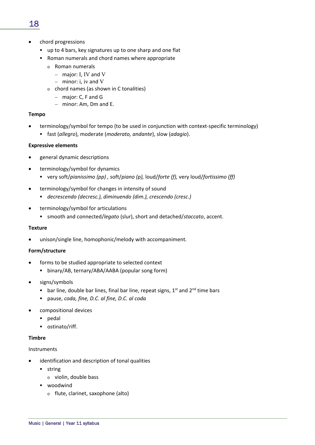- up to 4 bars, key signatures up to one sharp and one flat
- Roman numerals and chord names where appropriate
	- o Roman numerals
		- $-$  major: I, IV and V
		- $-$  minor: i, iv and V
	- o chord names (as shown in C tonalities)
		- major: C, F and G
		- $-$  minor: Am, Dm and E.

### **Tempo**

- terminology/symbol for tempo (to be used in conjunction with context‐specific terminology)
	- fast (*allegro*), moderate (*moderato, andante*), slow (*adagio*).

### **Expressive elements**

- general dynamic descriptions
- terminology/symbol for dynamics
	- very soft/*pianissimo (pp) ,* soft/*piano (p),* loud/*forte (f),* very loud/*fortissimo (ff)*
- terminology/symbol for changes in intensity of sound
	- *decrescendo (decresc.), diminuendo (dim.), crescendo (cresc.)*
- terminology/symbol for articulations
	- smooth and connected/*legato* (slur), short and detached/*staccato*, accent.

### **Texture**

unison/single line, homophonic/melody with accompaniment.

### **Form/structure**

- forms to be studied appropriate to selected context
	- binary/AB, ternary/ABA/AABA (popular song form)
- signs/symbols
	- bar line, double bar lines, final bar line, repeat signs,  $1^{st}$  and  $2^{nd}$  time bars
	- pause, *coda, fine, D.C. al fine, D.C. al coda*
- compositional devices
	- pedal
	- ostinato/riff.

### **Timbre**

### Instruments

- identification and description of tonal qualities
	- **string** 
		- o violin, double bass
	- **•** woodwind
		- o flute, clarinet, saxophone (alto)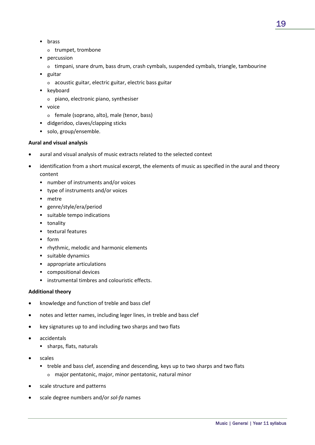- **u** brass
	- o trumpet, trombone
- **percussion** 
	- o timpani, snare drum, bass drum, crash cymbals, suspended cymbals, triangle, tambourine
- **guitar** 
	- o acoustic guitar, electric guitar, electric bass guitar
- **EXEC** keyboard
	- o piano, electronic piano, synthesiser
- voice
	- o female (soprano, alto), male (tenor, bass)
- didgeridoo, claves/clapping sticks
- solo, group/ensemble.

### **Aural and visual analysis**

- aural and visual analysis of music extracts related to the selected context
- identification from a short musical excerpt, the elements of music as specified in the aural and theory content
	- number of instruments and/or voices
	- type of instruments and/or voices
	- **netre**
	- genre/style/era/period
	- suitable tempo indications
	- **tonality**
	- **textural features**
	- $-$  form
	- **•** rhythmic, melodic and harmonic elements
	- **suitable dynamics**
	- appropriate articulations
	- compositional devices
	- **EXECUTE:** instrumental timbres and colouristic effects.

### **Additional theory**

- knowledge and function of treble and bass clef
- notes and letter names, including leger lines, in treble and bass clef
- key signatures up to and including two sharps and two flats
- accidentals
	- sharps, flats, naturals
- scales
	- treble and bass clef, ascending and descending, keys up to two sharps and two flats
		- o major pentatonic, major, minor pentatonic, natural minor
- scale structure and patterns
- scale degree numbers and/or *sol‐fa* names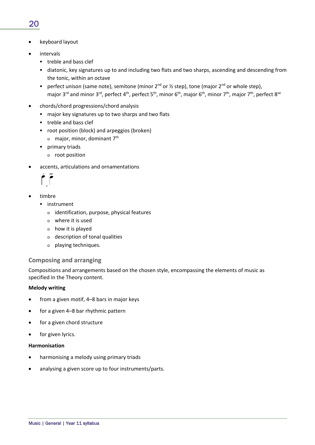- keyboard layout
- intervals
	- **treble and bass clef**
	- diatonic, key signatures up to and including two flats and two sharps, ascending and descending from the tonic, within an octave
	- perfect unison (same note), semitone (minor  $2^{nd}$  or  $\frac{1}{2}$  step), tone (major  $2^{nd}$  or whole step), major 3<sup>rd</sup> and minor 3<sup>rd</sup>, perfect 4<sup>th</sup>, perfect 5<sup>th</sup>, minor 6<sup>th</sup>, major 6<sup>th</sup>, minor 7<sup>th</sup>, major 7<sup>th</sup>, perfect 8<sup>ve</sup>
- chords/chord progressions/chord analysis
	- major key signatures up to two sharps and two flats
	- **treble and bass clef**
	- root position (block) and arpeggios (broken)
		- $\circ$  major, minor, dominant 7<sup>th</sup>
	- **primary triads** 
		- o root position
- accents, articulations and ornamentations

,

- timbre
	- **·** instrument
		- o identification, purpose, physical features
		- o where it is used
		- o how it is played
		- o description of tonal qualities
		- o playing techniques.

### **Composing and arranging**

Compositions and arrangements based on the chosen style, encompassing the elements of music as specified in the Theory content.

### **Melody writing**

- from a given motif, 4–8 bars in major keys
- for a given 4–8 bar rhythmic pattern
- for a given chord structure
- for given lyrics.

### **Harmonisation**

- harmonising a melody using primary triads
- analysing a given score up to four instruments/parts.

### 20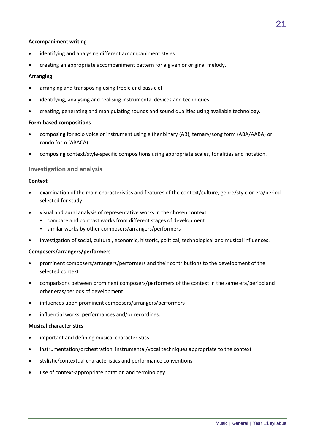### **Accompaniment writing**

- identifying and analysing different accompaniment styles
- creating an appropriate accompaniment pattern for a given or original melody.

### **Arranging**

- arranging and transposing using treble and bass clef
- identifying, analysing and realising instrumental devices and techniques
- creating, generating and manipulating sounds and sound qualities using available technology.

### **Form‐based compositions**

- composing for solo voice or instrument using either binary (AB), ternary/song form (ABA/AABA) or rondo form (ABACA)
- composing context/style‐specific compositions using appropriate scales, tonalities and notation.

### **Investigation and analysis**

### **Context**

- examination of the main characteristics and features of the context/culture, genre/style or era/period selected for study
- visual and aural analysis of representative works in the chosen context
	- compare and contrast works from different stages of development
	- similar works by other composers/arrangers/performers
- investigation of social, cultural, economic, historic, political, technological and musical influences.

### **Composers/arrangers/performers**

- prominent composers/arrangers/performers and their contributions to the development of the selected context
- comparisons between prominent composers/performers of the context in the same era/period and other eras/periods of development
- influences upon prominent composers/arrangers/performers
- influential works, performances and/or recordings.

#### **Musical characteristics**

- important and defining musical characteristics
- instrumentation/orchestration, instrumental/vocal techniques appropriate to the context
- stylistic/contextual characteristics and performance conventions
- use of context‐appropriate notation and terminology.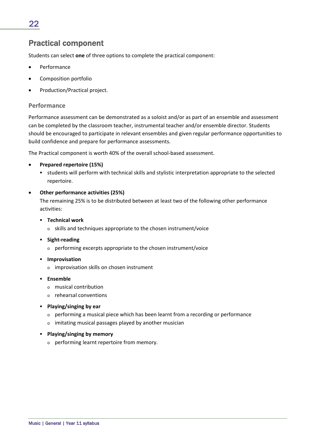### Practical component

Students can select **one** of three options to complete the practical component:

- Performance
- Composition portfolio
- Production/Practical project.

### **Performance**

Performance assessment can be demonstrated as a soloist and/or as part of an ensemble and assessment can be completed by the classroom teacher, instrumental teacher and/or ensemble director. Students should be encouraged to participate in relevant ensembles and given regular performance opportunities to build confidence and prepare for performance assessments.

The Practical component is worth 40% of the overall school‐based assessment.

- **Prepared repertoire (15%)**
	- students will perform with technical skills and stylistic interpretation appropriate to the selected repertoire.

#### **Other performance activities (25%)**

The remaining 25% is to be distributed between at least two of the following other performance activities:

- **Technical work**
	- o skills and techniques appropriate to the chosen instrument/voice
- **Sight‐reading**
	- o performing excerpts appropriate to the chosen instrument/voice
- **F** Improvisation
	- o improvisation skills on chosen instrument
- **Ensemble**
	- o musical contribution
	- o rehearsal conventions
- **Playing/singing by ear**
	- o performing a musical piece which has been learnt from a recording or performance
	- o imitating musical passages played by another musician
- **Playing/singing by memory**
	- o performing learnt repertoire from memory.

22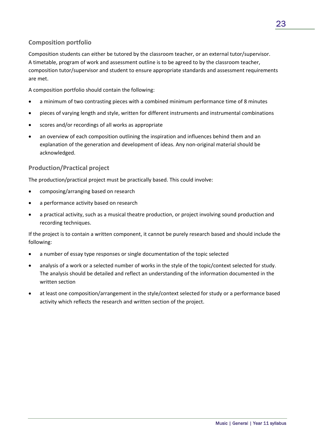### **Composition portfolio**

Composition students can either be tutored by the classroom teacher, or an external tutor/supervisor. A timetable, program of work and assessment outline is to be agreed to by the classroom teacher, composition tutor/supervisor and student to ensure appropriate standards and assessment requirements are met.

A composition portfolio should contain the following:

- a minimum of two contrasting pieces with a combined minimum performance time of 8 minutes
- pieces of varying length and style, written for different instruments and instrumental combinations
- scores and/or recordings of all works as appropriate
- an overview of each composition outlining the inspiration and influences behind them and an explanation of the generation and development of ideas. Any non-original material should be acknowledged.

### **Production/Practical project**

The production/practical project must be practically based. This could involve:

- composing/arranging based on research
- a performance activity based on research
- a practical activity, such as a musical theatre production, or project involving sound production and recording techniques.

If the project is to contain a written component, it cannot be purely research based and should include the following:

- a number of essay type responses or single documentation of the topic selected
- analysis of a work or a selected number of works in the style of the topic/context selected for study. The analysis should be detailed and reflect an understanding of the information documented in the written section
- at least one composition/arrangement in the style/context selected for study or a performance based activity which reflects the research and written section of the project.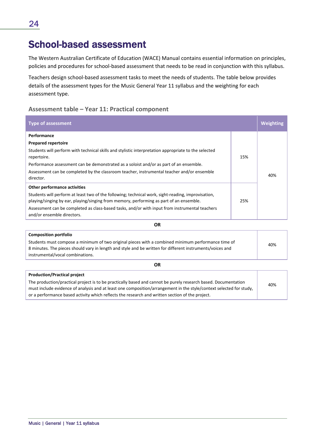## School-based assessment

The Western Australian Certificate of Education (WACE) Manual contains essential information on principles, policies and procedures for school‐based assessment that needs to be read in conjunction with this syllabus.

Teachers design school‐based assessment tasks to meet the needs of students. The table below provides details of the assessment types for the Music General Year 11 syllabus and the weighting for each assessment type.

### **Assessment table – Year 11: Practical component**

| <b>Type of assessment</b>                                                                                                                                                                     |     | <b>Weighting</b> |
|-----------------------------------------------------------------------------------------------------------------------------------------------------------------------------------------------|-----|------------------|
| Performance                                                                                                                                                                                   |     |                  |
| <b>Prepared repertoire</b>                                                                                                                                                                    |     |                  |
| Students will perform with technical skills and stylistic interpretation appropriate to the selected<br>repertoire.                                                                           | 15% |                  |
| Performance assessment can be demonstrated as a soloist and/or as part of an ensemble.                                                                                                        |     |                  |
| Assessment can be completed by the classroom teacher, instrumental teacher and/or ensemble<br>director.                                                                                       |     | 40%              |
| Other performance activities                                                                                                                                                                  |     |                  |
| Students will perform at least two of the following; technical work, sight-reading, improvisation,<br>playing/singing by ear, playing/singing from memory, performing as part of an ensemble. | 25% |                  |
| Assessment can be completed as class-based tasks, and/or with input from instrumental teachers<br>and/or ensemble directors.                                                                  |     |                  |

**Composition portfolio** Students must compose a minimum of two original pieces with a combined minimum performance time of 8 minutes. The pieces should vary in length and style and be written for different instruments/voices and instrumental/vocal combinations. 40%

**OR**

| <b>Production/Practical project</b>                                                                                 |     |
|---------------------------------------------------------------------------------------------------------------------|-----|
| The production/practical project is to be practically based and cannot be purely research based. Documentation      | 40% |
| must include evidence of analysis and at least one composition/arrangement in the style/context selected for study, |     |
| or a performance based activity which reflects the research and written section of the project.                     |     |
|                                                                                                                     |     |

**OR**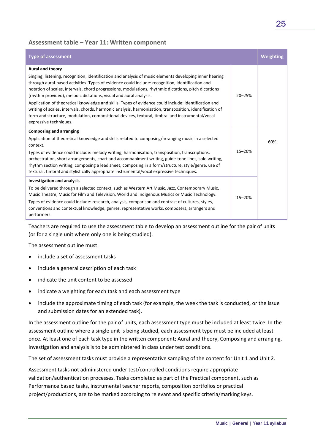### **Assessment table – Year 11: Written component**

| <b>Type of assessment</b>                                                                                                                                                                                                                                                                                                                                                                                                                                                                                                                                                                                                                                                                                                                                      |               | <b>Weighting</b> |
|----------------------------------------------------------------------------------------------------------------------------------------------------------------------------------------------------------------------------------------------------------------------------------------------------------------------------------------------------------------------------------------------------------------------------------------------------------------------------------------------------------------------------------------------------------------------------------------------------------------------------------------------------------------------------------------------------------------------------------------------------------------|---------------|------------------|
| Aural and theory<br>Singing, listening, recognition, identification and analysis of music elements developing inner hearing<br>through aural-based activities. Types of evidence could include: recognition, identification and<br>notation of scales, intervals, chord progressions, modulations, rhythmic dictations, pitch dictations<br>(rhythm provided), melodic dictations, visual and aural analysis.<br>Application of theoretical knowledge and skills. Types of evidence could include: identification and<br>writing of scales, intervals, chords, harmonic analysis, harmonisation, transposition, identification of<br>form and structure, modulation, compositional devices, textural, timbral and instrumental/vocal<br>expressive techniques. | $20 - 25%$    |                  |
| <b>Composing and arranging</b><br>Application of theoretical knowledge and skills related to composing/arranging music in a selected<br>context.<br>Types of evidence could include: melody writing, harmonisation, transposition, transcriptions,<br>orchestration, short arrangements, chart and accompaniment writing, guide-tone lines, solo writing,<br>rhythm section writing, composing a lead sheet, composing in a form/structure, style/genre, use of<br>textural, timbral and stylistically appropriate instrumental/vocal expressive techniques.                                                                                                                                                                                                   | 60%<br>15-20% |                  |
| <b>Investigation and analysis</b><br>To be delivered through a selected context, such as Western Art Music, Jazz, Contemporary Music,<br>Music Theatre, Music for Film and Television, World and Indigenous Musics or Music Technology.<br>Types of evidence could include: research, analysis, comparison and contrast of cultures, styles,<br>conventions and contextual knowledge, genres, representative works, composers, arrangers and<br>performers.                                                                                                                                                                                                                                                                                                    | 15-20%        |                  |

Teachers are required to use the assessment table to develop an assessment outline for the pair of units (or for a single unit where only one is being studied).

The assessment outline must:

- include a set of assessment tasks
- include a general description of each task
- indicate the unit content to be assessed
- indicate a weighting for each task and each assessment type
- include the approximate timing of each task (for example, the week the task is conducted, or the issue and submission dates for an extended task).

In the assessment outline for the pair of units, each assessment type must be included at least twice. In the assessment outline where a single unit is being studied, each assessment type must be included at least once. At least one of each task type in the written component; Aural and theory, Composing and arranging, Investigation and analysis is to be administered in class under test conditions.

The set of assessment tasks must provide a representative sampling of the content for Unit 1 and Unit 2.

Assessment tasks not administered under test/controlled conditions require appropriate validation/authentication processes. Tasks completed as part of the Practical component, such as Performance based tasks, instrumental teacher reports, composition portfolios or practical project/productions, are to be marked according to relevant and specific criteria/marking keys.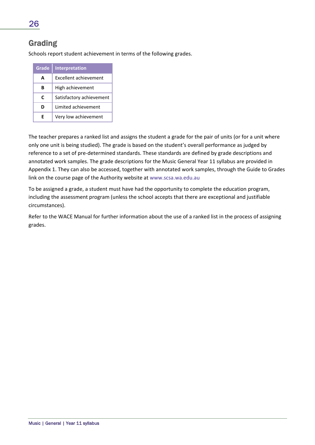### Grading

Schools report student achievement in terms of the following grades.

| Grade | Interpretation           |
|-------|--------------------------|
| A     | Excellent achievement    |
| R     | High achievement         |
| C     | Satisfactory achievement |
| ח     | Limited achievement      |
| F     | Very low achievement     |

The teacher prepares a ranked list and assigns the student a grade for the pair of units (or for a unit where only one unit is being studied). The grade is based on the student's overall performance as judged by reference to a set of pre-determined standards. These standards are defined by grade descriptions and annotated work samples. The grade descriptions for the Music General Year 11 syllabus are provided in Appendix 1. They can also be accessed, together with annotated work samples, through the Guide to Grades link on the course page of the Authority website at www.scsa.wa.edu.au

To be assigned a grade, a student must have had the opportunity to complete the education program, including the assessment program (unless the school accepts that there are exceptional and justifiable circumstances).

Refer to the WACE Manual for further information about the use of a ranked list in the process of assigning grades.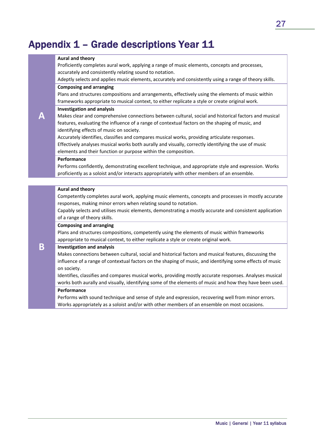## Appendix 1 – Grade descriptions Year 11

#### **Aural and theory**

Proficiently completes aural work, applying a range of music elements, concepts and processes, accurately and consistently relating sound to notation.

Adeptly selects and applies music elements, accurately and consistently using a range of theory skills.

### **Composing and arranging**

Plans and structures compositions and arrangements, effectively using the elements of music within frameworks appropriate to musical context, to either replicate a style or create original work.

#### **Investigation and analysis**

Makes clear and comprehensive connections between cultural, social and historical factors and musical features, evaluating the influence of a range of contextual factors on the shaping of music, and identifying effects of music on society.

Accurately identifies, classifies and compares musical works, providing articulate responses. Effectively analyses musical works both aurally and visually, correctly identifying the use of music elements and their function or purpose within the composition.

### **Performance**

**A**

**B**

Performs confidently, demonstrating excellent technique, and appropriate style and expression. Works proficiently as a soloist and/or interacts appropriately with other members of an ensemble.

#### **Aural and theory**

Competently completes aural work, applying music elements, concepts and processes in mostly accurate responses, making minor errors when relating sound to notation.

Capably selects and utilises music elements, demonstrating a mostly accurate and consistent application of a range of theory skills.

#### **Composing and arranging**

Plans and structures compositions, competently using the elements of music within frameworks appropriate to musical context, to either replicate a style or create original work.

#### **Investigation and analysis**

Makes connections between cultural, social and historical factors and musical features, discussing the influence of a range of contextual factors on the shaping of music, and identifying some effects of music on society.

Identifies, classifies and compares musical works, providing mostly accurate responses. Analyses musical works both aurally and visually, identifying some of the elements of music and how they have been used.

#### **Performance**

Performs with sound technique and sense of style and expression, recovering well from minor errors. Works appropriately as a soloist and/or with other members of an ensemble on most occasions.